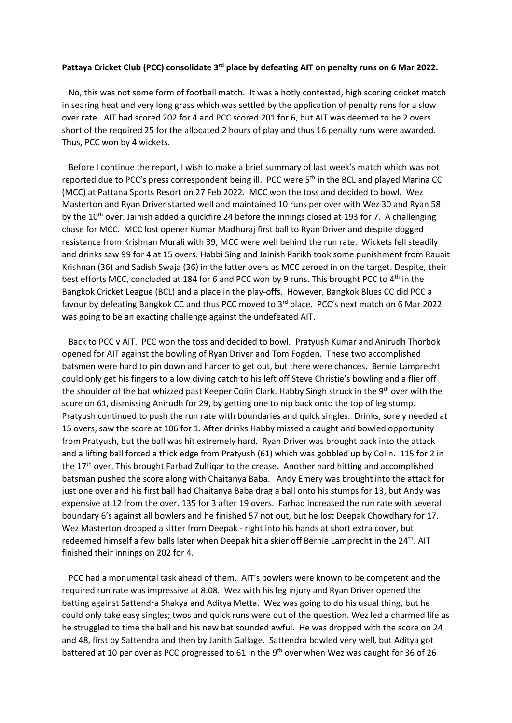## **Pattaya Cricket Club (PCC) consolidate 3rd place by defeating AIT on penalty runs on 6 Mar 2022.**

 No, this was not some form of football match. It was a hotly contested, high scoring cricket match in searing heat and very long grass which was settled by the application of penalty runs for a slow over rate. AIT had scored 202 for 4 and PCC scored 201 for 6, but AIT was deemed to be 2 overs short of the required 25 for the allocated 2 hours of play and thus 16 penalty runs were awarded. Thus, PCC won by 4 wickets.

 Before I continue the report, I wish to make a brief summary of last week's match which was not reported due to PCC's press correspondent being ill. PCC were 5<sup>th</sup> in the BCL and played Marina CC (MCC) at Pattana Sports Resort on 27 Feb 2022. MCC won the toss and decided to bowl. Wez Masterton and Ryan Driver started well and maintained 10 runs per over with Wez 30 and Ryan 58 by the 10<sup>th</sup> over. Jainish added a quickfire 24 before the innings closed at 193 for 7. A challenging chase for MCC. MCC lost opener Kumar Madhuraj first ball to Ryan Driver and despite dogged resistance from Krishnan Murali with 39, MCC were well behind the run rate. Wickets fell steadily and drinks saw 99 for 4 at 15 overs. Habbi Sing and Jainish Parikh took some punishment from Rauait Krishnan (36) and Sadish Swaja (36) in the latter overs as MCC zeroed in on the target. Despite, their best efforts MCC, concluded at 184 for 6 and PCC won by 9 runs. This brought PCC to 4<sup>th</sup> in the Bangkok Cricket League (BCL) and a place in the play-offs. However, Bangkok Blues CC did PCC a favour by defeating Bangkok CC and thus PCC moved to 3rd place. PCC's next match on 6 Mar 2022 was going to be an exacting challenge against the undefeated AIT.

 Back to PCC v AIT. PCC won the toss and decided to bowl. Pratyush Kumar and Anirudh Thorbok opened for AIT against the bowling of Ryan Driver and Tom Fogden. These two accomplished batsmen were hard to pin down and harder to get out, but there were chances. Bernie Lamprecht could only get his fingers to a low diving catch to his left off Steve Christie's bowling and a flier off the shoulder of the bat whizzed past Keeper Colin Clark. Habby Singh struck in the 9th over with the score on 61, dismissing Anirudh for 29, by getting one to nip back onto the top of leg stump. Pratyush continued to push the run rate with boundaries and quick singles. Drinks, sorely needed at 15 overs, saw the score at 106 for 1. After drinks Habby missed a caught and bowled opportunity from Pratyush, but the ball was hit extremely hard. Ryan Driver was brought back into the attack and a lifting ball forced a thick edge from Pratyush (61) which was gobbled up by Colin. 115 for 2 in the 17<sup>th</sup> over. This brought Farhad Zulfiqar to the crease. Another hard hitting and accomplished batsman pushed the score along with Chaitanya Baba. Andy Emery was brought into the attack for just one over and his first ball had Chaitanya Baba drag a ball onto his stumps for 13, but Andy was expensive at 12 from the over. 135 for 3 after 19 overs. Farhad increased the run rate with several boundary 6's against all bowlers and he finished 57 not out, but he lost Deepak Chowdhary for 17. Wez Masterton dropped a sitter from Deepak - right into his hands at short extra cover, but redeemed himself a few balls later when Deepak hit a skier off Bernie Lamprecht in the 24<sup>th</sup>. AIT finished their innings on 202 for 4.

 PCC had a monumental task ahead of them. AIT's bowlers were known to be competent and the required run rate was impressive at 8.08. Wez with his leg injury and Ryan Driver opened the batting against Sattendra Shakya and Aditya Metta. Wez was going to do his usual thing, but he could only take easy singles; twos and quick runs were out of the question. Wez led a charmed life as he struggled to time the ball and his new bat sounded awful. He was dropped with the score on 24 and 48, first by Sattendra and then by Janith Gallage. Sattendra bowled very well, but Aditya got battered at 10 per over as PCC progressed to 61 in the 9<sup>th</sup> over when Wez was caught for 36 of 26